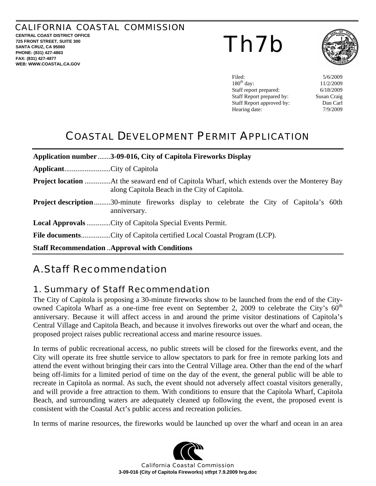<span id="page-0-0"></span>CALIFORNIA COASTAL COMMISSION **CENTRAL COAST DISTRICT OFFICE 725 FRONT STREET, SUITE 300 SANTA CRUZ, CA 95060 PHONE: (831) 427-4863 FAX: (831) 427-4877** 

**WEB: WWW.COASTAL.CA.GOV**





Filed: 5/6/2009  $180^{\text{th}}$  day:  $11/2/2009$ Staff report prepared: 6/18/2009 Staff Report prepared by: Susan Craig Staff Report approved by: Dan Carl Hearing date:  $7/9/2009$ 

## COASTAL DEVELOPMENT PERMIT APPLICATION

|                                                       | Application number 3-09-016, City of Capitola Fireworks Display                                                 |  |  |
|-------------------------------------------------------|-----------------------------------------------------------------------------------------------------------------|--|--|
|                                                       |                                                                                                                 |  |  |
|                                                       | along Capitola Beach in the City of Capitola.                                                                   |  |  |
|                                                       | <b>Project description</b> 30-minute fireworks display to celebrate the City of Capitola's 60th<br>anniversary. |  |  |
|                                                       | <b>Local Approvals City of Capitola Special Events Permit.</b>                                                  |  |  |
|                                                       |                                                                                                                 |  |  |
| <b>Staff Recommendation  Approval with Conditions</b> |                                                                                                                 |  |  |

## A. Staff Recommendation

## 1. Summary of Staff Recommendation

The City of Capitola is proposing a 30-minute fireworks show to be launched from the end of the Cityowned Capitola Wharf as a one-time free event on September 2, 2009 to celebrate the City's  $60<sup>th</sup>$ anniversary. Because it will affect access in and around the prime visitor destinations of Capitola's Central Village and Capitola Beach, and because it involves fireworks out over the wharf and ocean, the proposed project raises public recreational access and marine resource issues.

In terms of public recreational access, no public streets will be closed for the fireworks event, and the City will operate its free shuttle service to allow spectators to park for free in remote parking lots and attend the event without bringing their cars into the Central Village area. Other than the end of the wharf being off-limits for a limited period of time on the day of the event, the general public will be able to recreate in Capitola as normal. As such, the event should not adversely affect coastal visitors generally, and will provide a free attraction to them. With conditions to ensure that the Capitola Wharf, Capitola Beach, and surrounding waters are adequately cleaned up following the event, the proposed event is consistent with the Coastal Act's public access and recreation policies.

In terms of marine resources, the fireworks would be launched up over the wharf and ocean in an area

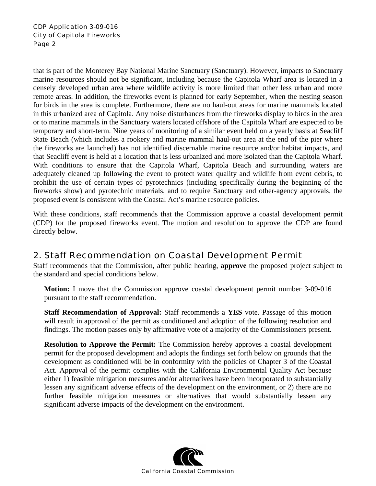<span id="page-1-0"></span>that is part of the Monterey Bay National Marine Sanctuary (Sanctuary). However, impacts to Sanctuary marine resources should not be significant, including because the Capitola Wharf area is located in a densely developed urban area where wildlife activity is more limited than other less urban and more remote areas. In addition, the fireworks event is planned for early September, when the nesting season for birds in the area is complete. Furthermore, there are no haul-out areas for marine mammals located in this urbanized area of Capitola. Any noise disturbances from the fireworks display to birds in the area or to marine mammals in the Sanctuary waters located offshore of the Capitola Wharf are expected to be temporary and short-term. Nine years of monitoring of a similar event held on a yearly basis at Seacliff State Beach (which includes a rookery and marine mammal haul-out area at the end of the pier where the fireworks are launched) has not identified discernable marine resource and/or habitat impacts, and that Seacliff event is held at a location that is less urbanized and more isolated than the Capitola Wharf. With conditions to ensure that the Capitola Wharf, Capitola Beach and surrounding waters are adequately cleaned up following the event to protect water quality and wildlife from event debris, to prohibit the use of certain types of pyrotechnics (including specifically during the beginning of the fireworks show) and pyrotechnic materials, and to require Sanctuary and other-agency approvals, the proposed event is consistent with the Coastal Act's marine resource policies.

With these conditions, staff recommends that the Commission approve a coastal development permit (CDP) for the proposed fireworks event. The motion and resolution to approve the CDP are found directly below.

## 2. Staff Recommendation on Coastal Development Permit

Staff recommends that the Commission, after public hearing, **approve** the proposed project subject to the standard and special conditions below.

**Motion:** I move that the Commission approve coastal development permit number 3-09-016 pursuant to the staff recommendation.

**Staff Recommendation of Approval:** Staff recommends a **YES** vote. Passage of this motion will result in approval of the permit as conditioned and adoption of the following resolution and findings. The motion passes only by affirmative vote of a majority of the Commissioners present.

**Resolution to Approve the Permit:** The Commission hereby approves a coastal development permit for the proposed development and adopts the findings set forth below on grounds that the development as conditioned will be in conformity with the policies of Chapter 3 of the Coastal Act. Approval of the permit complies with the California Environmental Quality Act because either 1) feasible mitigation measures and/or alternatives have been incorporated to substantially lessen any significant adverse effects of the development on the environment, or 2) there are no further feasible mitigation measures or alternatives that would substantially lessen any significant adverse impacts of the development on the environment.

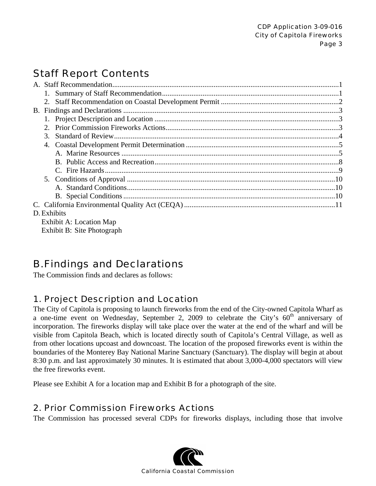# <span id="page-2-0"></span>Staff Report Contents

| $\mathcal{E}$           |  |  |
|-------------------------|--|--|
|                         |  |  |
|                         |  |  |
|                         |  |  |
|                         |  |  |
|                         |  |  |
|                         |  |  |
|                         |  |  |
|                         |  |  |
| D. Exhibits             |  |  |
| Exhibit A: Location Map |  |  |

Exhibit B: Site Photograph

## B. Findings and Declarations

The Commission finds and declares as follows:

## 1. Project Description and Location

The City of Capitola is proposing to launch fireworks from the end of the City-owned Capitola Wharf as a one-time event on Wednesday, September 2, 2009 to celebrate the City's  $60<sup>th</sup>$  anniversary of incorporation. The fireworks display will take place over the water at the end of the wharf and will be visible from Capitola Beach, which is located directly south of Capitola's Central Village, as well as from other locations upcoast and downcoast. The location of the proposed fireworks event is within the boundaries of the Monterey Bay National Marine Sanctuary (Sanctuary). The display will begin at about 8:30 p.m. and last approximately 30 minutes. It is estimated that about 3,000-4,000 spectators will view the free fireworks event.

Please see Exhibit A for a location map and Exhibit B for a photograph of the site.

### 2. Prior Commission Fireworks Actions

The Commission has processed several CDPs for fireworks displays, including those that involve

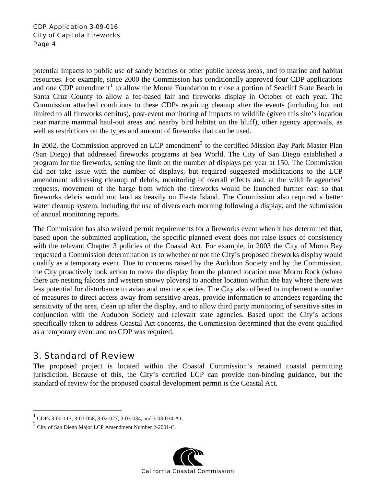<span id="page-3-0"></span>potential impacts to public use of sandy beaches or other public access areas, and to marine and habitat resources. For example, since 2000 the Commission has conditionally approved four CDP applications and one CDP amendment<sup>[1](#page-3-1)</sup> to allow the Monte Foundation to close a portion of Seacliff State Beach in Santa Cruz County to allow a fee-based fair and fireworks display in October of each year. The Commission attached conditions to these CDPs requiring cleanup after the events (including but not limited to all fireworks detritus), post-event monitoring of impacts to wildlife (given this site's location near marine mammal haul-out areas and nearby bird habitat on the bluff), other agency approvals, as well as restrictions on the types and amount of fireworks that can be used.

In [2](#page-3-2)002, the Commission approved an LCP amendment<sup>2</sup> to the certified Mission Bay Park Master Plan (San Diego) that addressed fireworks programs at Sea World. The City of San Diego established a program for the fireworks, setting the limit on the number of displays per year at 150. The Commission did not take issue with the number of displays, but required suggested modifications to the LCP amendment addressing cleanup of debris, monitoring of overall effects and, at the wildlife agencies' requests, movement of the barge from which the fireworks would be launched further east so that fireworks debris would not land as heavily on Fiesta Island. The Commission also required a better water cleanup system, including the use of divers each morning following a display, and the submission of annual monitoring reports.

The Commission has also waived permit requirements for a fireworks event when it has determined that, based upon the submitted application, the specific planned event does not raise issues of consistency with the relevant Chapter 3 policies of the Coastal Act. For example, in 2003 the City of Morro Bay requested a Commission determination as to whether or not the City's proposed fireworks display would qualify as a temporary event. Due to concerns raised by the Audubon Society and by the Commission, the City proactively took action to move the display from the planned location near Morro Rock (where there are nesting falcons and western snowy plovers) to another location within the bay where there was less potential for disturbance to avian and marine species. The City also offered to implement a number of measures to direct access away from sensitive areas, provide information to attendees regarding the sensitivity of the area, clean up after the display, and to allow third party monitoring of sensitive sites in conjunction with the Audubon Society and relevant state agencies. Based upon the City's actions specifically taken to address Coastal Act concerns, the Commission determined that the event qualified as a temporary event and no CDP was required.

## 3. Standard of Review

 $\overline{a}$ 

The proposed project is located within the Coastal Commission's retained coastal permitting jurisdiction. Because of this, the City's certified LCP can provide non-binding guidance, but the standard of review for the proposed coastal development permit is the Coastal Act.

<span id="page-3-2"></span> $2^2$  City of San Diego Major LCP Amendment Number 2-2001-C.



<span id="page-3-1"></span><sup>1</sup> CDPs 3-00-117, 3-01-058, 3-02-027, 3-03-034, and 3-03-034-A1.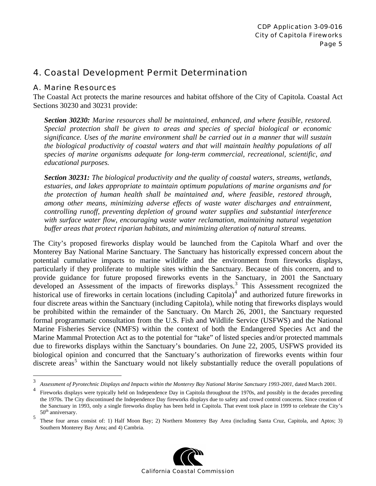### <span id="page-4-0"></span>4. Coastal Development Permit Determination

#### A. Marine Resources

The Coastal Act protects the marine resources and habitat offshore of the City of Capitola. Coastal Act Sections 30230 and 30231 provide:

*Section 30230: Marine resources shall be maintained, enhanced, and where feasible, restored. Special protection shall be given to areas and species of special biological or economic significance. Uses of the marine environment shall be carried out in a manner that will sustain the biological productivity of coastal waters and that will maintain healthy populations of all species of marine organisms adequate for long-term commercial, recreational, scientific, and educational purposes.* 

*Section 30231: The biological productivity and the quality of coastal waters, streams, wetlands, estuaries, and lakes appropriate to maintain optimum populations of marine organisms and for the protection of human health shall be maintained and, where feasible, restored through, among other means, minimizing adverse effects of waste water discharges and entrainment, controlling runoff, preventing depletion of ground water supplies and substantial interference with surface water flow, encouraging waste water reclamation, maintaining natural vegetation buffer areas that protect riparian habitats, and minimizing alteration of natural streams.* 

The City's proposed fireworks display would be launched from the Capitola Wharf and over the Monterey Bay National Marine Sanctuary. The Sanctuary has historically expressed concern about the potential cumulative impacts to marine wildlife and the environment from fireworks displays, particularly if they proliferate to multiple sites within the Sanctuary. Because of this concern, and to provide guidance for future proposed fireworks events in the Sanctuary, in 2001 the Sanctuary developed an Assessment of the impacts of fireworks displays.<sup>[3](#page-4-1)</sup> This Assessment recognized the historical use of fireworks in certain locations (including Capitola) $4$  and authorized future fireworks in four discrete areas within the Sanctuary (including Capitola), while noting that fireworks displays would be prohibited within the remainder of the Sanctuary. On March 26, 2001, the Sanctuary requested formal programmatic consultation from the U.S. Fish and Wildlife Service (USFWS) and the National Marine Fisheries Service (NMFS) within the context of both the Endangered Species Act and the Marine Mammal Protection Act as to the potential for "take" of listed species and/or protected mammals due to fireworks displays within the Sanctuary's boundaries. On June 22, 2005, USFWS provided its biological opinion and concurred that the Sanctuary's authorization of fireworks events within four discrete areas<sup>[5](#page-4-3)</sup> within the Sanctuary would not likely substantially reduce the overall populations of

<span id="page-4-3"></span><sup>5</sup> These four areas consist of: 1) Half Moon Bay; 2) Northern Monterey Bay Area (including Santa Cruz, Capitola, and Aptos; 3) Southern Monterey Bay Area; and 4) Cambria.



<span id="page-4-1"></span><sup>&</sup>lt;sup>2</sup><br>3 *Assessment of Pyrotechnic Displays and Impacts within the Monterey Bay National Marine Sanctuary 1993-2001*, dated March 2001.

<span id="page-4-2"></span><sup>4</sup> Fireworks displays were typically held on Independence Day in Capitola throughout the 1970s, and possibly in the decades preceding the 1970s. The City discontinued the Independence Day fireworks displays due to safety and crowd control concerns. Since creation of the Sanctuary in 1993, only a single fireworks display has been held in Capitola. That event took place in 1999 to celebrate the City's 50<sup>th</sup> anniversary.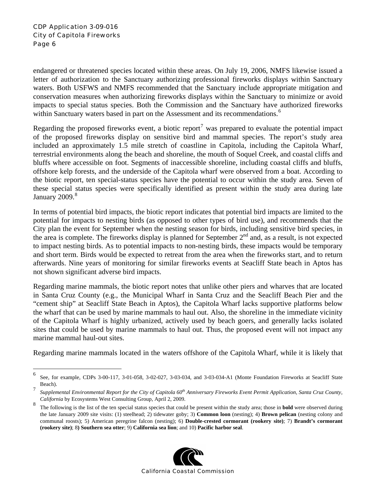$\overline{a}$ 

endangered or threatened species located within these areas. On July 19, 2006, NMFS likewise issued a letter of authorization to the Sanctuary authorizing professional fireworks displays within Sanctuary waters. Both USFWS and NMFS recommended that the Sanctuary include appropriate mitigation and conservation measures when authorizing fireworks displays within the Sanctuary to minimize or avoid impacts to special status species. Both the Commission and the Sanctuary have authorized fireworks within Sanctuary waters based in part on the Assessment and its recommendations.<sup>[6](#page-5-0)</sup>

Regarding the proposed fireworks event, a biotic report<sup>[7](#page-5-1)</sup> was prepared to evaluate the potential impact of the proposed fireworks display on sensitive bird and mammal species. The report's study area included an approximately 1.5 mile stretch of coastline in Capitola, including the Capitola Wharf, terrestrial environments along the beach and shoreline, the mouth of Soquel Creek, and coastal cliffs and bluffs where accessible on foot. Segments of inaccessible shoreline, including coastal cliffs and bluffs, offshore kelp forests, and the underside of the Capitola wharf were observed from a boat. According to the biotic report, ten special-status species have the potential to occur within the study area. Seven of these special status species were specifically identified as present within the study area during late January  $2009.<sup>8</sup>$  $2009.<sup>8</sup>$  $2009.<sup>8</sup>$ 

In terms of potential bird impacts, the biotic report indicates that potential bird impacts are limited to the potential for impacts to nesting birds (as opposed to other types of bird use), and recommends that the City plan the event for September when the nesting season for birds, including sensitive bird species, in the area is complete. The fireworks display is planned for September  $2<sup>nd</sup>$  and, as a result, is not expected to impact nesting birds. As to potential impacts to non-nesting birds, these impacts would be temporary and short term. Birds would be expected to retreat from the area when the fireworks start, and to return afterwards. Nine years of monitoring for similar fireworks events at Seacliff State beach in Aptos has not shown significant adverse bird impacts.

Regarding marine mammals, the biotic report notes that unlike other piers and wharves that are located in Santa Cruz County (e.g., the Municipal Wharf in Santa Cruz and the Seacliff Beach Pier and the "cement ship" at Seacliff State Beach in Aptos), the Capitola Wharf lacks supportive platforms below the wharf that can be used by marine mammals to haul out. Also, the shoreline in the immediate vicinity of the Capitola Wharf is highly urbanized, actively used by beach goers, and generally lacks isolated sites that could be used by marine mammals to haul out. Thus, the proposed event will not impact any marine mammal haul-out sites.

Regarding marine mammals located in the waters offshore of the Capitola Wharf, while it is likely that

<span id="page-5-2"></span><sup>8</sup> The following is the list of the ten special status species that could be present within the study area; those in **bold** were observed during the late January 2009 site visits: (1) steelhead; 2) tidewater goby; 3) **Common loon** (nesting); 4) **Brown pelican** (nesting colony and communal roosts); 5) American peregrine falcon (nesting); 6) **Double-crested cormorant (rookery site)**; 7) **Brandt's cormorant (rookery site)**; 8**) Southern sea otter**; 9) **California sea lion**; and 10) **Pacific harbor seal**.



<span id="page-5-0"></span><sup>6</sup> See, for example, CDPs 3-00-117, 3-01-058, 3-02-027, 3-03-034, and 3-03-034-A1 (Monte Foundation Fireworks at Seacliff State Beach). 7

<span id="page-5-1"></span>*Supplemental Environmental Report for the City of Capitola 60th Anniversary Fireworks Event Permit Application, Santa Cruz County, California* by Ecosystems West Consulting Group, April 2, 2009.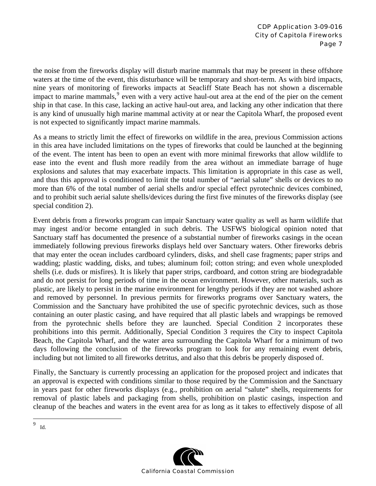the noise from the fireworks display will disturb marine mammals that may be present in these offshore waters at the time of the event, this disturbance will be temporary and short-term. As with bird impacts, nine years of monitoring of fireworks impacts at Seacliff State Beach has not shown a discernable impact to marine mammals,<sup>[9](#page-6-0)</sup> even with a very active haul-out area at the end of the pier on the cement ship in that case. In this case, lacking an active haul-out area, and lacking any other indication that there is any kind of unusually high marine mammal activity at or near the Capitola Wharf, the proposed event is not expected to significantly impact marine mammals.

As a means to strictly limit the effect of fireworks on wildlife in the area, previous Commission actions in this area have included limitations on the types of fireworks that could be launched at the beginning of the event. The intent has been to open an event with more minimal fireworks that allow wildlife to ease into the event and flush more readily from the area without an immediate barrage of huge explosions and salutes that may exacerbate impacts. This limitation is appropriate in this case as well, and thus this approval is conditioned to limit the total number of "aerial salute" shells or devices to no more than 6% of the total number of aerial shells and/or special effect pyrotechnic devices combined, and to prohibit such aerial salute shells/devices during the first five minutes of the fireworks display (see special condition 2).

Event debris from a fireworks program can impair Sanctuary water quality as well as harm wildlife that may ingest and/or become entangled in such debris. The USFWS biological opinion noted that Sanctuary staff has documented the presence of a substantial number of fireworks casings in the ocean immediately following previous fireworks displays held over Sanctuary waters. Other fireworks debris that may enter the ocean includes cardboard cylinders, disks, and shell case fragments; paper strips and wadding; plastic wadding, disks, and tubes; aluminum foil; cotton string; and even whole unexploded shells (i.e. duds or misfires). It is likely that paper strips, cardboard, and cotton string are biodegradable and do not persist for long periods of time in the ocean environment. However, other materials, such as plastic, are likely to persist in the marine environment for lengthy periods if they are not washed ashore and removed by personnel. In previous permits for fireworks programs over Sanctuary waters, the Commission and the Sanctuary have prohibited the use of specific pyrotechnic devices, such as those containing an outer plastic casing, and have required that all plastic labels and wrappings be removed from the pyrotechnic shells before they are launched. Special Condition 2 incorporates these prohibitions into this permit. Additionally, Special Condition 3 requires the City to inspect Capitola Beach, the Capitola Wharf, and the water area surrounding the Capitola Wharf for a minimum of two days following the conclusion of the fireworks program to look for any remaining event debris, including but not limited to all fireworks detritus, and also that this debris be properly disposed of.

Finally, the Sanctuary is currently processing an application for the proposed project and indicates that an approval is expected with conditions similar to those required by the Commission and the Sanctuary in years past for other fireworks displays (e.g., prohibition on aerial "salute" shells, requirements for removal of plastic labels and packaging from shells, prohibition on plastic casings, inspection and cleanup of the beaches and waters in the event area for as long as it takes to effectively dispose of all



<span id="page-6-0"></span><sup>-&</sup>lt;br>9 Id.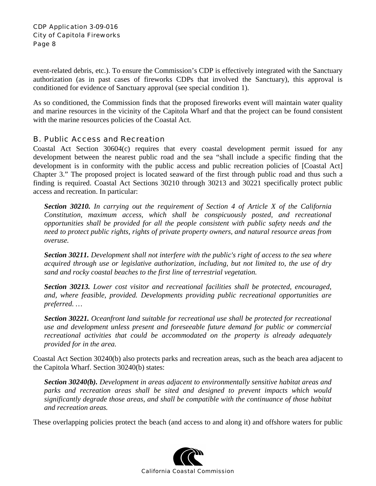<span id="page-7-0"></span>event-related debris, etc.). To ensure the Commission's CDP is effectively integrated with the Sanctuary authorization (as in past cases of fireworks CDPs that involved the Sanctuary), this approval is conditioned for evidence of Sanctuary approval (see special condition 1).

As so conditioned, the Commission finds that the proposed fireworks event will maintain water quality and marine resources in the vicinity of the Capitola Wharf and that the project can be found consistent with the marine resources policies of the Coastal Act.

#### B. Public Access and Recreation

Coastal Act Section 30604(c) requires that every coastal development permit issued for any development between the nearest public road and the sea "shall include a specific finding that the development is in conformity with the public access and public recreation policies of [Coastal Act] Chapter 3." The proposed project is located seaward of the first through public road and thus such a finding is required. Coastal Act Sections 30210 through 30213 and 30221 specifically protect public access and recreation. In particular:

*Section 30210. In carrying out the requirement of Section 4 of Article X of the California Constitution, maximum access, which shall be conspicuously posted, and recreational opportunities shall be provided for all the people consistent with public safety needs and the need to protect public rights, rights of private property owners, and natural resource areas from overuse.* 

*Section 30211. Development shall not interfere with the public's right of access to the sea where acquired through use or legislative authorization, including, but not limited to, the use of dry sand and rocky coastal beaches to the first line of terrestrial vegetation.* 

*Section 30213. Lower cost visitor and recreational facilities shall be protected, encouraged, and, where feasible, provided. Developments providing public recreational opportunities are preferred. …* 

*Section 30221. Oceanfront land suitable for recreational use shall be protected for recreational use and development unless present and foreseeable future demand for public or commercial recreational activities that could be accommodated on the property is already adequately provided for in the area.* 

Coastal Act Section 30240(b) also protects parks and recreation areas, such as the beach area adjacent to the Capitola Wharf. Section 30240(b) states:

*Section 30240(b). Development in areas adjacent to environmentally sensitive habitat areas and parks and recreation areas shall be sited and designed to prevent impacts which would significantly degrade those areas, and shall be compatible with the continuance of those habitat and recreation areas.* 

These overlapping policies protect the beach (and access to and along it) and offshore waters for public

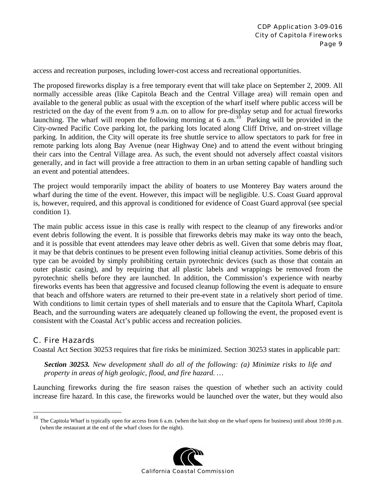<span id="page-8-0"></span>access and recreation purposes, including lower-cost access and recreational opportunities.

The proposed fireworks display is a free temporary event that will take place on September 2, 2009. All normally accessible areas (like Capitola Beach and the Central Village area) will remain open and available to the general public as usual with the exception of the wharf itself where public access will be restricted on the day of the event from 9 a.m. on to allow for pre-display setup and for actual fireworks launching. The wharf will reopen the following morning at  $6$  a.m.<sup>[10](#page-8-1)</sup> Parking will be provided in the City-owned Pacific Cove parking lot, the parking lots located along Cliff Drive, and on-street village parking. In addition, the City will operate its free shuttle service to allow spectators to park for free in remote parking lots along Bay Avenue (near Highway One) and to attend the event without bringing their cars into the Central Village area. As such, the event should not adversely affect coastal visitors generally, and in fact will provide a free attraction to them in an urban setting capable of handling such an event and potential attendees.

The project would temporarily impact the ability of boaters to use Monterey Bay waters around the wharf during the time of the event. However, this impact will be negligible. U.S. Coast Guard approval is, however, required, and this approval is conditioned for evidence of Coast Guard approval (see special condition 1).

The main public access issue in this case is really with respect to the cleanup of any fireworks and/or event debris following the event. It is possible that fireworks debris may make its way onto the beach, and it is possible that event attendees may leave other debris as well. Given that some debris may float, it may be that debris continues to be present even following initial cleanup activities. Some debris of this type can be avoided by simply prohibiting certain pyrotechnic devices (such as those that contain an outer plastic casing), and by requiring that all plastic labels and wrappings be removed from the pyrotechnic shells before they are launched. In addition, the Commission's experience with nearby fireworks events has been that aggressive and focused cleanup following the event is adequate to ensure that beach and offshore waters are returned to their pre-event state in a relatively short period of time. With conditions to limit certain types of shell materials and to ensure that the Capitola Wharf, Capitola Beach, and the surrounding waters are adequately cleaned up following the event, the proposed event is consistent with the Coastal Act's public access and recreation policies.

#### C. Fire Hazards

 $\overline{a}$ 

Coastal Act Section 30253 requires that fire risks be minimized. Section 30253 states in applicable part:

*Section 30253. New development shall do all of the following: (a) Minimize risks to life and property in areas of high geologic, flood, and fire hazard. …* 

Launching fireworks during the fire season raises the question of whether such an activity could increase fire hazard. In this case, the fireworks would be launched over the water, but they would also

<span id="page-8-1"></span><sup>&</sup>lt;sup>10</sup> The Capitola Wharf is typically open for access from 6 a.m. (when the bait shop on the wharf opens for business) until about 10:00 p.m. (when the restaurant at the end of the wharf closes for the night).

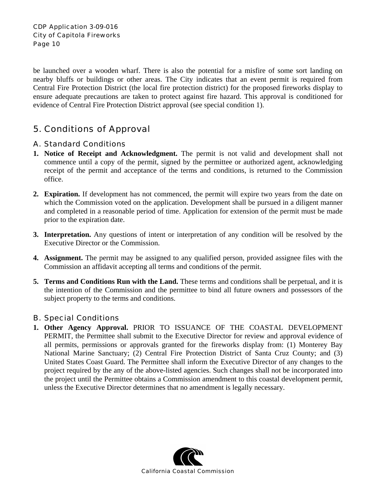<span id="page-9-0"></span>be launched over a wooden wharf. There is also the potential for a misfire of some sort landing on nearby bluffs or buildings or other areas. The City indicates that an event permit is required from Central Fire Protection District (the local fire protection district) for the proposed fireworks display to ensure adequate precautions are taken to protect against fire hazard. This approval is conditioned for evidence of Central Fire Protection District approval (see special condition 1).

## 5. Conditions of Approval

#### A. Standard Conditions

- **1. Notice of Receipt and Acknowledgment.** The permit is not valid and development shall not commence until a copy of the permit, signed by the permittee or authorized agent, acknowledging receipt of the permit and acceptance of the terms and conditions, is returned to the Commission office.
- **2. Expiration.** If development has not commenced, the permit will expire two years from the date on which the Commission voted on the application. Development shall be pursued in a diligent manner and completed in a reasonable period of time. Application for extension of the permit must be made prior to the expiration date.
- **3. Interpretation.** Any questions of intent or interpretation of any condition will be resolved by the Executive Director or the Commission.
- **4. Assignment.** The permit may be assigned to any qualified person, provided assignee files with the Commission an affidavit accepting all terms and conditions of the permit.
- **5. Terms and Conditions Run with the Land.** These terms and conditions shall be perpetual, and it is the intention of the Commission and the permittee to bind all future owners and possessors of the subject property to the terms and conditions.

#### B. Special Conditions

**1. Other Agency Approval.** PRIOR TO ISSUANCE OF THE COASTAL DEVELOPMENT PERMIT, the Permittee shall submit to the Executive Director for review and approval evidence of all permits, permissions or approvals granted for the fireworks display from: (1) Monterey Bay National Marine Sanctuary; (2) Central Fire Protection District of Santa Cruz County; and (3) United States Coast Guard. The Permittee shall inform the Executive Director of any changes to the project required by the any of the above-listed agencies. Such changes shall not be incorporated into the project until the Permittee obtains a Commission amendment to this coastal development permit, unless the Executive Director determines that no amendment is legally necessary.

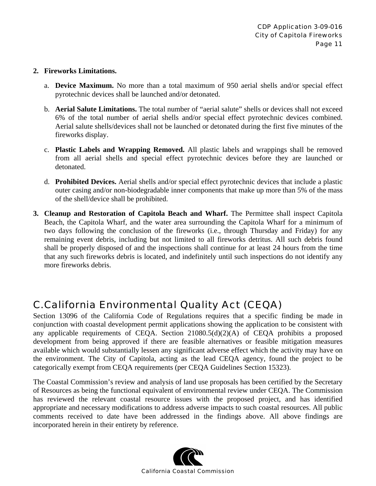#### <span id="page-10-0"></span>**2. Fireworks Limitations.**

- a. **Device Maximum.** No more than a total maximum of 950 aerial shells and/or special effect pyrotechnic devices shall be launched and/or detonated.
- b. **Aerial Salute Limitations.** The total number of "aerial salute" shells or devices shall not exceed 6% of the total number of aerial shells and/or special effect pyrotechnic devices combined. Aerial salute shells/devices shall not be launched or detonated during the first five minutes of the fireworks display.
- c. **Plastic Labels and Wrapping Removed.** All plastic labels and wrappings shall be removed from all aerial shells and special effect pyrotechnic devices before they are launched or detonated.
- d. **Prohibited Devices.** Aerial shells and/or special effect pyrotechnic devices that include a plastic outer casing and/or non-biodegradable inner components that make up more than 5% of the mass of the shell/device shall be prohibited.
- **3. Cleanup and Restoration of Capitola Beach and Wharf.** The Permittee shall inspect Capitola Beach, the Capitola Wharf, and the water area surrounding the Capitola Wharf for a minimum of two days following the conclusion of the fireworks (i.e., through Thursday and Friday) for any remaining event debris, including but not limited to all fireworks detritus. All such debris found shall be properly disposed of and the inspections shall continue for at least 24 hours from the time that any such fireworks debris is located, and indefinitely until such inspections do not identify any more fireworks debris.

## C. California Environmental Quality Act (CEQA)

Section 13096 of the California Code of Regulations requires that a specific finding be made in conjunction with coastal development permit applications showing the application to be consistent with any applicable requirements of CEQA. Section 21080.5(d)(2)(A) of CEQA prohibits a proposed development from being approved if there are feasible alternatives or feasible mitigation measures available which would substantially lessen any significant adverse effect which the activity may have on the environment. The City of Capitola, acting as the lead CEQA agency, found the project to be categorically exempt from CEQA requirements (per CEQA Guidelines Section 15323).

The Coastal Commission's review and analysis of land use proposals has been certified by the Secretary of Resources as being the functional equivalent of environmental review under CEQA. The Commission has reviewed the relevant coastal resource issues with the proposed project, and has identified appropriate and necessary modifications to address adverse impacts to such coastal resources. All public comments received to date have been addressed in the findings above. All above findings are incorporated herein in their entirety by reference.

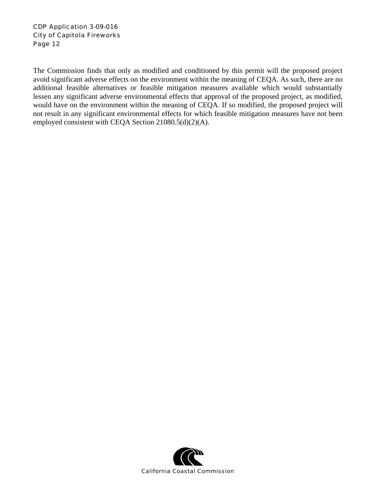The Commission finds that only as modified and conditioned by this permit will the proposed project avoid significant adverse effects on the environment within the meaning of CEQA. As such, there are no additional feasible alternatives or feasible mitigation measures available which would substantially lessen any significant adverse environmental effects that approval of the proposed project, as modified, would have on the environment within the meaning of CEQA. If so modified, the proposed project will not result in any significant environmental effects for which feasible mitigation measures have not been employed consistent with CEQA Section 21080.5(d)(2)(A).

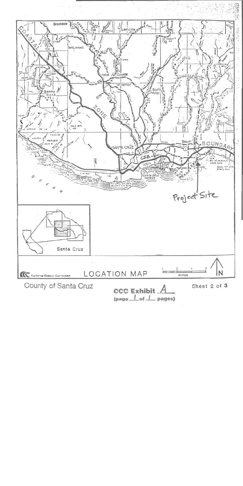